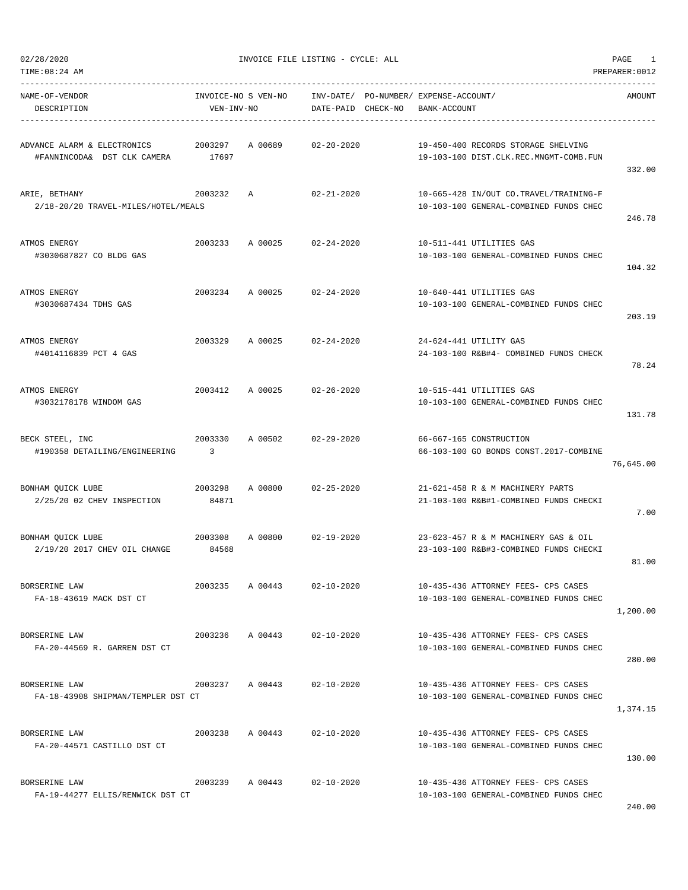| TIME:08:24 AM                                              |                  |                     |                    |                                                                                  | PREPARER: 0012 |
|------------------------------------------------------------|------------------|---------------------|--------------------|----------------------------------------------------------------------------------|----------------|
| NAME-OF-VENDOR<br>DESCRIPTION                              | VEN-INV-NO       | INVOICE-NO S VEN-NO | DATE-PAID CHECK-NO | INV-DATE/ PO-NUMBER/ EXPENSE-ACCOUNT/<br>BANK-ACCOUNT                            | AMOUNT         |
| ADVANCE ALARM & ELECTRONICS<br>#FANNINCODA& DST CLK CAMERA | 2003297<br>17697 | A 00689             | $02 - 20 - 2020$   | 19-450-400 RECORDS STORAGE SHELVING<br>19-103-100 DIST.CLK.REC.MNGMT-COMB.FUN    | 332.00         |
| ARIE, BETHANY<br>2/18-20/20 TRAVEL-MILES/HOTEL/MEALS       | 2003232          | Α                   | $02 - 21 - 2020$   | 10-665-428 IN/OUT CO.TRAVEL/TRAINING-F<br>10-103-100 GENERAL-COMBINED FUNDS CHEC | 246.78         |
| ATMOS ENERGY<br>#3030687827 CO BLDG GAS                    | 2003233          | A 00025             | $02 - 24 - 2020$   | 10-511-441 UTILITIES GAS<br>10-103-100 GENERAL-COMBINED FUNDS CHEC               | 104.32         |
| ATMOS ENERGY<br>#3030687434 TDHS GAS                       | 2003234          | A 00025             | $02 - 24 - 2020$   | 10-640-441 UTILITIES GAS<br>10-103-100 GENERAL-COMBINED FUNDS CHEC               | 203.19         |
| ATMOS ENERGY<br>#4014116839 PCT 4 GAS                      | 2003329          | A 00025             | $02 - 24 - 2020$   | 24-624-441 UTILITY GAS<br>24-103-100 R&B#4- COMBINED FUNDS CHECK                 | 78.24          |
| ATMOS ENERGY<br>#3032178178 WINDOM GAS                     | 2003412          | A 00025             | 02-26-2020         | 10-515-441 UTILITIES GAS<br>10-103-100 GENERAL-COMBINED FUNDS CHEC               | 131.78         |
| BECK STEEL, INC<br>#190358 DETAILING/ENGINEERING           | 2003330<br>3     | A 00502             | $02 - 29 - 2020$   | 66-667-165 CONSTRUCTION<br>66-103-100 GO BONDS CONST.2017-COMBINE                | 76,645.00      |
| BONHAM QUICK LUBE<br>2/25/20 02 CHEV INSPECTION            | 2003298<br>84871 | A 00800             | $02 - 25 - 2020$   | 21-621-458 R & M MACHINERY PARTS<br>21-103-100 R&B#1-COMBINED FUNDS CHECKI       | 7.00           |
| BONHAM QUICK LUBE<br>2/19/20 2017 CHEV OIL CHANGE          | 2003308<br>84568 | A 00800             | $02 - 19 - 2020$   | 23-623-457 R & M MACHINERY GAS & OIL<br>23-103-100 R&B#3-COMBINED FUNDS CHECKI   | 81.00          |
| BORSERINE LAW<br>FA-18-43619 MACK DST CT                   | 2003235          | A 00443             | $02 - 10 - 2020$   | 10-435-436 ATTORNEY FEES- CPS CASES<br>10-103-100 GENERAL-COMBINED FUNDS CHEC    | 1,200.00       |
| BORSERINE LAW<br>FA-20-44569 R. GARREN DST CT              | 2003236          | A 00443 02-10-2020  |                    | 10-435-436 ATTORNEY FEES- CPS CASES<br>10-103-100 GENERAL-COMBINED FUNDS CHEC    | 280.00         |
| BORSERINE LAW<br>FA-18-43908 SHIPMAN/TEMPLER DST CT        | 2003237 A 00443  |                     | $02 - 10 - 2020$   | 10-435-436 ATTORNEY FEES- CPS CASES<br>10-103-100 GENERAL-COMBINED FUNDS CHEC    | 1,374.15       |
| BORSERINE LAW<br>FA-20-44571 CASTILLO DST CT               | 2003238 A 00443  |                     | $02 - 10 - 2020$   | 10-435-436 ATTORNEY FEES- CPS CASES<br>10-103-100 GENERAL-COMBINED FUNDS CHEC    | 130.00         |
| BORSERINE LAW<br>FA-19-44277 ELLIS/RENWICK DST CT          | 2003239          | A 00443             | $02 - 10 - 2020$   | 10-435-436 ATTORNEY FEES- CPS CASES<br>10-103-100 GENERAL-COMBINED FUNDS CHEC    |                |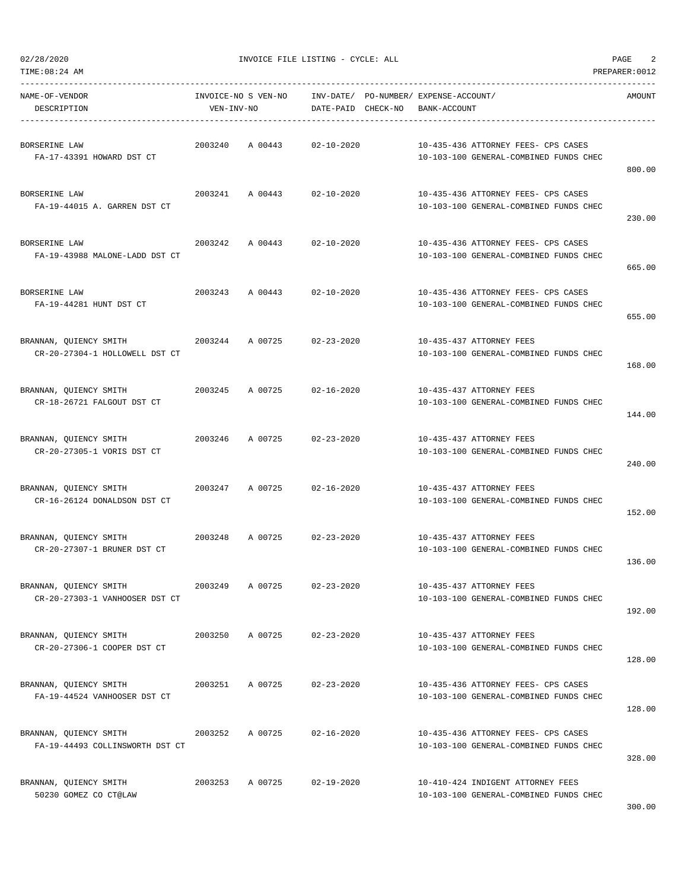| TIME: 08:24 AM                                            |            |                     |                                 |                                                                               | PREPARER: 0012 |
|-----------------------------------------------------------|------------|---------------------|---------------------------------|-------------------------------------------------------------------------------|----------------|
| NAME-OF-VENDOR<br>DESCRIPTION                             | VEN-INV-NO | INVOICE-NO S VEN-NO | INV-DATE/<br>DATE-PAID CHECK-NO | PO-NUMBER/ EXPENSE-ACCOUNT/<br>BANK-ACCOUNT                                   | AMOUNT         |
| BORSERINE LAW<br>FA-17-43391 HOWARD DST CT                | 2003240    | A 00443             | $02 - 10 - 2020$                | 10-435-436 ATTORNEY FEES- CPS CASES<br>10-103-100 GENERAL-COMBINED FUNDS CHEC | 800.00         |
| BORSERINE LAW<br>FA-19-44015 A. GARREN DST CT             | 2003241    | A 00443             | $02 - 10 - 2020$                | 10-435-436 ATTORNEY FEES- CPS CASES<br>10-103-100 GENERAL-COMBINED FUNDS CHEC | 230.00         |
| BORSERINE LAW<br>FA-19-43988 MALONE-LADD DST CT           | 2003242    | A 00443             | $02 - 10 - 2020$                | 10-435-436 ATTORNEY FEES- CPS CASES<br>10-103-100 GENERAL-COMBINED FUNDS CHEC | 665.00         |
| BORSERINE LAW<br>FA-19-44281 HUNT DST CT                  | 2003243    | A 00443             | $02 - 10 - 2020$                | 10-435-436 ATTORNEY FEES- CPS CASES<br>10-103-100 GENERAL-COMBINED FUNDS CHEC | 655.00         |
| BRANNAN, QUIENCY SMITH<br>CR-20-27304-1 HOLLOWELL DST CT  | 2003244    | A 00725             | $02 - 23 - 2020$                | 10-435-437 ATTORNEY FEES<br>10-103-100 GENERAL-COMBINED FUNDS CHEC            | 168.00         |
| BRANNAN, QUIENCY SMITH<br>CR-18-26721 FALGOUT DST CT      | 2003245    | A 00725             | $02 - 16 - 2020$                | 10-435-437 ATTORNEY FEES<br>10-103-100 GENERAL-COMBINED FUNDS CHEC            | 144.00         |
| BRANNAN, QUIENCY SMITH<br>CR-20-27305-1 VORIS DST CT      | 2003246    | A 00725             | $02 - 23 - 2020$                | 10-435-437 ATTORNEY FEES<br>10-103-100 GENERAL-COMBINED FUNDS CHEC            | 240.00         |
| BRANNAN, QUIENCY SMITH<br>CR-16-26124 DONALDSON DST CT    | 2003247    | A 00725             | $02 - 16 - 2020$                | 10-435-437 ATTORNEY FEES<br>10-103-100 GENERAL-COMBINED FUNDS CHEC            | 152.00         |
| BRANNAN, QUIENCY SMITH<br>CR-20-27307-1 BRUNER DST CT     | 2003248    | A 00725             | $02 - 23 - 2020$                | 10-435-437 ATTORNEY FEES<br>10-103-100 GENERAL-COMBINED FUNDS CHEC            | 136.00         |
| BRANNAN, QUIENCY SMITH<br>CR-20-27303-1 VANHOOSER DST CT  | 2003249    | A 00725             | $02 - 23 - 2020$                | 10-435-437 ATTORNEY FEES<br>10-103-100 GENERAL-COMBINED FUNDS CHEC            | 192.00         |
| BRANNAN, QUIENCY SMITH<br>CR-20-27306-1 COOPER DST CT     | 2003250    | A 00725             | $02 - 23 - 2020$                | 10-435-437 ATTORNEY FEES<br>10-103-100 GENERAL-COMBINED FUNDS CHEC            | 128.00         |
| BRANNAN, OUIENCY SMITH<br>FA-19-44524 VANHOOSER DST CT    | 2003251    | A 00725             | $02 - 23 - 2020$                | 10-435-436 ATTORNEY FEES- CPS CASES<br>10-103-100 GENERAL-COMBINED FUNDS CHEC | 128.00         |
| BRANNAN, QUIENCY SMITH<br>FA-19-44493 COLLINSWORTH DST CT | 2003252    | A 00725             | $02 - 16 - 2020$                | 10-435-436 ATTORNEY FEES- CPS CASES<br>10-103-100 GENERAL-COMBINED FUNDS CHEC | 328.00         |
| BRANNAN, QUIENCY SMITH<br>50230 GOMEZ CO CT@LAW           | 2003253    | A 00725             | $02 - 19 - 2020$                | 10-410-424 INDIGENT ATTORNEY FEES<br>10-103-100 GENERAL-COMBINED FUNDS CHEC   |                |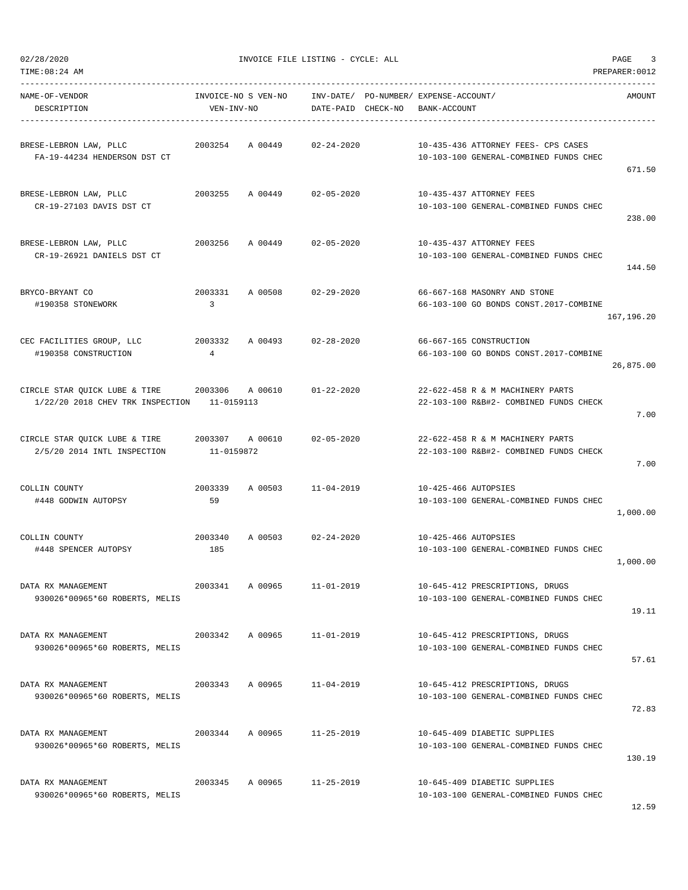| TIME: 08:24 AM                                                    |                                   |         |                        |          |                                                                               | PREPARER: 0012 |
|-------------------------------------------------------------------|-----------------------------------|---------|------------------------|----------|-------------------------------------------------------------------------------|----------------|
| NAME-OF-VENDOR<br>DESCRIPTION                                     | INVOICE-NO S VEN-NO<br>VEN-INV-NO |         | INV-DATE/<br>DATE-PAID | CHECK-NO | PO-NUMBER/ EXPENSE-ACCOUNT/<br>BANK-ACCOUNT                                   | AMOUNT         |
| BRESE-LEBRON LAW, PLLC<br>FA-19-44234 HENDERSON DST CT            | 2003254                           | A 00449 | $02 - 24 - 2020$       |          | 10-435-436 ATTORNEY FEES- CPS CASES<br>10-103-100 GENERAL-COMBINED FUNDS CHEC | 671.50         |
| BRESE-LEBRON LAW, PLLC<br>CR-19-27103 DAVIS DST CT                | 2003255                           | A 00449 | $02 - 05 - 2020$       |          | 10-435-437 ATTORNEY FEES<br>10-103-100 GENERAL-COMBINED FUNDS CHEC            | 238.00         |
| BRESE-LEBRON LAW, PLLC<br>CR-19-26921 DANIELS DST CT              | 2003256                           | A 00449 | $02 - 05 - 2020$       |          | 10-435-437 ATTORNEY FEES<br>10-103-100 GENERAL-COMBINED FUNDS CHEC            | 144.50         |
| BRYCO-BRYANT CO<br>#190358 STONEWORK                              | 2003331<br>3                      | A 00508 | $02 - 29 - 2020$       |          | 66-667-168 MASONRY AND STONE<br>66-103-100 GO BONDS CONST.2017-COMBINE        | 167,196.20     |
| CEC FACILITIES GROUP, LLC<br>#190358 CONSTRUCTION                 | 2003332<br>4                      | A 00493 | $02 - 28 - 2020$       |          | 66-667-165 CONSTRUCTION<br>66-103-100 GO BONDS CONST.2017-COMBINE             | 26,875.00      |
| CIRCLE STAR QUICK LUBE & TIRE<br>1/22/20 2018 CHEV TRK INSPECTION | 2003306<br>11-0159113             | A 00610 | $01 - 22 - 2020$       |          | 22-622-458 R & M MACHINERY PARTS<br>22-103-100 R&B#2- COMBINED FUNDS CHECK    | 7.00           |
| CIRCLE STAR QUICK LUBE & TIRE<br>2/5/20 2014 INTL INSPECTION      | 2003307<br>11-0159872             | A 00610 | $02 - 05 - 2020$       |          | 22-622-458 R & M MACHINERY PARTS<br>22-103-100 R&B#2- COMBINED FUNDS CHECK    | 7.00           |
| COLLIN COUNTY<br>#448 GODWIN AUTOPSY                              | 2003339<br>59                     | A 00503 | $11 - 04 - 2019$       |          | 10-425-466 AUTOPSIES<br>10-103-100 GENERAL-COMBINED FUNDS CHEC                | 1,000.00       |
| COLLIN COUNTY<br>#448 SPENCER AUTOPSY                             | 2003340<br>185                    | A 00503 | $02 - 24 - 2020$       |          | 10-425-466 AUTOPSIES<br>10-103-100 GENERAL-COMBINED FUNDS CHEC                | 1,000.00       |
| DATA RX MANAGEMENT<br>930026*00965*60 ROBERTS, MELIS              | 2003341                           | A 00965 | $11 - 01 - 2019$       |          | 10-645-412 PRESCRIPTIONS, DRUGS<br>10-103-100 GENERAL-COMBINED FUNDS CHEC     | 19.11          |
| DATA RX MANAGEMENT<br>930026*00965*60 ROBERTS, MELIS              | 2003342                           | A 00965 | $11 - 01 - 2019$       |          | 10-645-412 PRESCRIPTIONS, DRUGS<br>10-103-100 GENERAL-COMBINED FUNDS CHEC     | 57.61          |
| DATA RX MANAGEMENT<br>930026*00965*60 ROBERTS, MELIS              | 2003343                           | A 00965 | $11 - 04 - 2019$       |          | 10-645-412 PRESCRIPTIONS, DRUGS<br>10-103-100 GENERAL-COMBINED FUNDS CHEC     | 72.83          |
| DATA RX MANAGEMENT<br>930026*00965*60 ROBERTS, MELIS              | 2003344                           | A 00965 | $11 - 25 - 2019$       |          | 10-645-409 DIABETIC SUPPLIES<br>10-103-100 GENERAL-COMBINED FUNDS CHEC        | 130.19         |
| DATA RX MANAGEMENT<br>930026*00965*60 ROBERTS, MELIS              | 2003345                           | A 00965 | $11 - 25 - 2019$       |          | 10-645-409 DIABETIC SUPPLIES<br>10-103-100 GENERAL-COMBINED FUNDS CHEC        |                |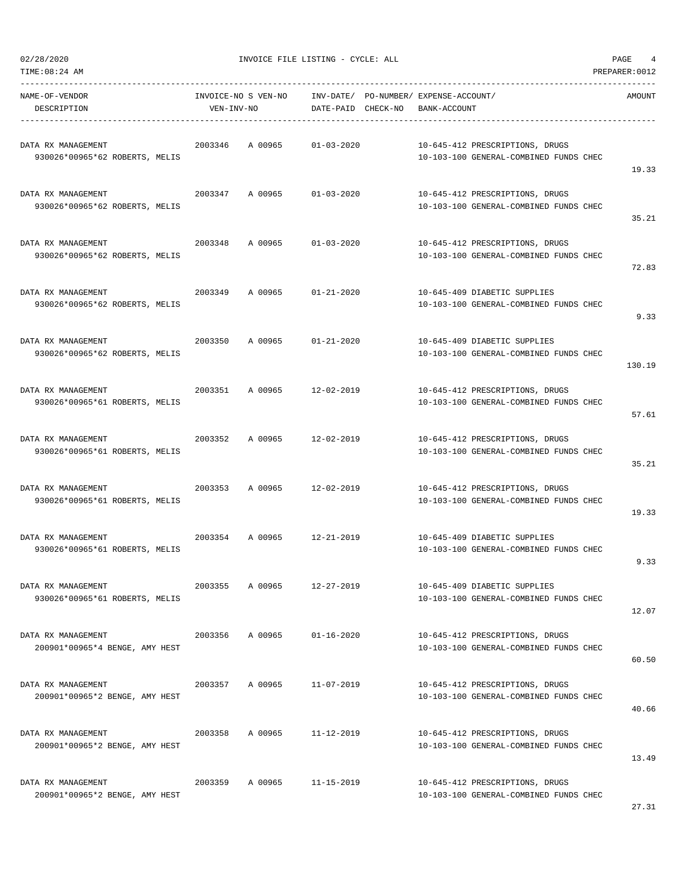| TIME: 08:24 AM                                       |                                   |                                 |                                                                           | PREPARER: 0012 |
|------------------------------------------------------|-----------------------------------|---------------------------------|---------------------------------------------------------------------------|----------------|
| NAME-OF-VENDOR<br>DESCRIPTION                        | INVOICE-NO S VEN-NO<br>VEN-INV-NO | INV-DATE/<br>DATE-PAID CHECK-NO | PO-NUMBER/ EXPENSE-ACCOUNT/<br>BANK-ACCOUNT                               | AMOUNT         |
| DATA RX MANAGEMENT<br>930026*00965*62 ROBERTS, MELIS | 2003346<br>A 00965                | $01 - 03 - 2020$                | 10-645-412 PRESCRIPTIONS, DRUGS<br>10-103-100 GENERAL-COMBINED FUNDS CHEC | 19.33          |
| DATA RX MANAGEMENT<br>930026*00965*62 ROBERTS, MELIS | 2003347<br>A 00965                | $01 - 03 - 2020$                | 10-645-412 PRESCRIPTIONS, DRUGS<br>10-103-100 GENERAL-COMBINED FUNDS CHEC | 35.21          |
| DATA RX MANAGEMENT<br>930026*00965*62 ROBERTS, MELIS | 2003348<br>A 00965                | $01 - 03 - 2020$                | 10-645-412 PRESCRIPTIONS, DRUGS<br>10-103-100 GENERAL-COMBINED FUNDS CHEC | 72.83          |
| DATA RX MANAGEMENT<br>930026*00965*62 ROBERTS, MELIS | 2003349<br>A 00965                | $01 - 21 - 2020$                | 10-645-409 DIABETIC SUPPLIES<br>10-103-100 GENERAL-COMBINED FUNDS CHEC    | 9.33           |
| DATA RX MANAGEMENT<br>930026*00965*62 ROBERTS, MELIS | 2003350<br>A 00965                | $01 - 21 - 2020$                | 10-645-409 DIABETIC SUPPLIES<br>10-103-100 GENERAL-COMBINED FUNDS CHEC    | 130.19         |
| DATA RX MANAGEMENT<br>930026*00965*61 ROBERTS, MELIS | 2003351<br>A 00965                | $12 - 02 - 2019$                | 10-645-412 PRESCRIPTIONS, DRUGS<br>10-103-100 GENERAL-COMBINED FUNDS CHEC | 57.61          |
| DATA RX MANAGEMENT<br>930026*00965*61 ROBERTS, MELIS | 2003352<br>A 00965                | $12 - 02 - 2019$                | 10-645-412 PRESCRIPTIONS, DRUGS<br>10-103-100 GENERAL-COMBINED FUNDS CHEC | 35.21          |
| DATA RX MANAGEMENT<br>930026*00965*61 ROBERTS, MELIS | 2003353<br>A 00965                | $12 - 02 - 2019$                | 10-645-412 PRESCRIPTIONS, DRUGS<br>10-103-100 GENERAL-COMBINED FUNDS CHEC | 19.33          |
| DATA RX MANAGEMENT<br>930026*00965*61 ROBERTS, MELIS | 2003354<br>A 00965                | $12 - 21 - 2019$                | 10-645-409 DIABETIC SUPPLIES<br>10-103-100 GENERAL-COMBINED FUNDS CHEC    | 9.33           |
| DATA RX MANAGEMENT<br>930026*00965*61 ROBERTS, MELIS | 2003355<br>A 00965                | $12 - 27 - 2019$                | 10-645-409 DIABETIC SUPPLIES<br>10-103-100 GENERAL-COMBINED FUNDS CHEC    | 12.07          |
| DATA RX MANAGEMENT<br>200901*00965*4 BENGE, AMY HEST | 2003356<br>A 00965                | $01 - 16 - 2020$                | 10-645-412 PRESCRIPTIONS, DRUGS<br>10-103-100 GENERAL-COMBINED FUNDS CHEC | 60.50          |
| DATA RX MANAGEMENT<br>200901*00965*2 BENGE, AMY HEST | 2003357<br>A 00965                | $11 - 07 - 2019$                | 10-645-412 PRESCRIPTIONS, DRUGS<br>10-103-100 GENERAL-COMBINED FUNDS CHEC | 40.66          |
| DATA RX MANAGEMENT<br>200901*00965*2 BENGE, AMY HEST | 2003358<br>A 00965                | 11-12-2019                      | 10-645-412 PRESCRIPTIONS, DRUGS<br>10-103-100 GENERAL-COMBINED FUNDS CHEC | 13.49          |
| DATA RX MANAGEMENT<br>200901*00965*2 BENGE, AMY HEST | 2003359<br>A 00965                | $11 - 15 - 2019$                | 10-645-412 PRESCRIPTIONS, DRUGS<br>10-103-100 GENERAL-COMBINED FUNDS CHEC |                |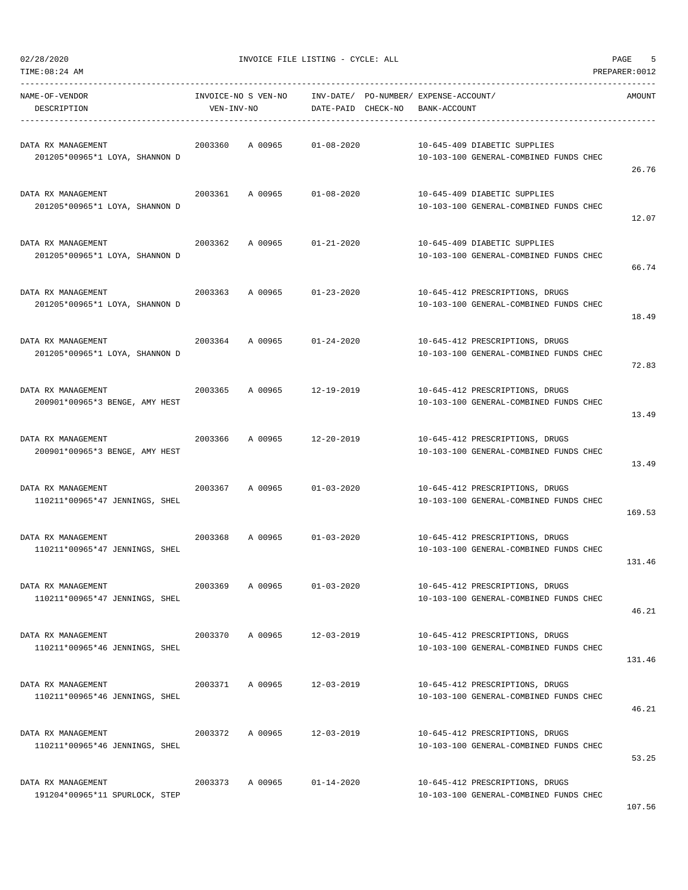| TIME:08:24 AM                                        |                     |                             |                                       |              |                                                                           | PREPARER: 0012 |
|------------------------------------------------------|---------------------|-----------------------------|---------------------------------------|--------------|---------------------------------------------------------------------------|----------------|
| NAME-OF-VENDOR                                       | INVOICE-NO S VEN-NO |                             | INV-DATE/ PO-NUMBER/ EXPENSE-ACCOUNT/ |              |                                                                           | AMOUNT         |
| DESCRIPTION                                          | VEN-INV-NO          | DATE-PAID CHECK-NO          |                                       | BANK-ACCOUNT |                                                                           |                |
|                                                      |                     |                             |                                       |              |                                                                           |                |
| DATA RX MANAGEMENT                                   | 2003360             | A 00965<br>$01 - 08 - 2020$ |                                       |              | 10-645-409 DIABETIC SUPPLIES                                              |                |
| 201205*00965*1 LOYA, SHANNON D                       |                     |                             |                                       |              | 10-103-100 GENERAL-COMBINED FUNDS CHEC                                    |                |
|                                                      |                     |                             |                                       |              |                                                                           | 26.76          |
| DATA RX MANAGEMENT                                   | 2003361<br>A 00965  | $01 - 08 - 2020$            |                                       |              | 10-645-409 DIABETIC SUPPLIES                                              |                |
| 201205*00965*1 LOYA, SHANNON D                       |                     |                             |                                       |              | 10-103-100 GENERAL-COMBINED FUNDS CHEC                                    |                |
|                                                      |                     |                             |                                       |              |                                                                           | 12.07          |
|                                                      |                     |                             |                                       |              |                                                                           |                |
| DATA RX MANAGEMENT                                   | 2003362<br>A 00965  | 01-21-2020                  |                                       |              | 10-645-409 DIABETIC SUPPLIES                                              |                |
| 201205*00965*1 LOYA, SHANNON D                       |                     |                             |                                       |              | 10-103-100 GENERAL-COMBINED FUNDS CHEC                                    | 66.74          |
|                                                      |                     |                             |                                       |              |                                                                           |                |
| DATA RX MANAGEMENT                                   | 2003363<br>A 00965  | $01 - 23 - 2020$            |                                       |              | 10-645-412 PRESCRIPTIONS, DRUGS                                           |                |
| 201205*00965*1 LOYA, SHANNON D                       |                     |                             |                                       |              | 10-103-100 GENERAL-COMBINED FUNDS CHEC                                    |                |
|                                                      |                     |                             |                                       |              |                                                                           | 18.49          |
| DATA RX MANAGEMENT                                   | 2003364             | A 00965<br>$01 - 24 - 2020$ |                                       |              | 10-645-412 PRESCRIPTIONS, DRUGS                                           |                |
| 201205*00965*1 LOYA, SHANNON D                       |                     |                             |                                       |              | 10-103-100 GENERAL-COMBINED FUNDS CHEC                                    |                |
|                                                      |                     |                             |                                       |              |                                                                           | 72.83          |
|                                                      |                     |                             |                                       |              |                                                                           |                |
| DATA RX MANAGEMENT                                   | 2003365<br>A 00965  | 12-19-2019                  |                                       |              | 10-645-412 PRESCRIPTIONS, DRUGS                                           |                |
| 200901*00965*3 BENGE, AMY HEST                       |                     |                             |                                       |              | 10-103-100 GENERAL-COMBINED FUNDS CHEC                                    |                |
|                                                      |                     |                             |                                       |              |                                                                           | 13.49          |
| DATA RX MANAGEMENT                                   | 2003366<br>A 00965  | 12-20-2019                  |                                       |              | 10-645-412 PRESCRIPTIONS, DRUGS                                           |                |
| 200901*00965*3 BENGE, AMY HEST                       |                     |                             |                                       |              | 10-103-100 GENERAL-COMBINED FUNDS CHEC                                    |                |
|                                                      |                     |                             |                                       |              |                                                                           | 13.49          |
|                                                      | 2003367             | A 00965<br>$01 - 03 - 2020$ |                                       |              |                                                                           |                |
| DATA RX MANAGEMENT<br>110211*00965*47 JENNINGS, SHEL |                     |                             |                                       |              | 10-645-412 PRESCRIPTIONS, DRUGS<br>10-103-100 GENERAL-COMBINED FUNDS CHEC |                |
|                                                      |                     |                             |                                       |              |                                                                           | 169.53         |
|                                                      |                     |                             |                                       |              |                                                                           |                |
| DATA RX MANAGEMENT                                   | 2003368<br>A 00965  | $01 - 03 - 2020$            |                                       |              | 10-645-412 PRESCRIPTIONS, DRUGS                                           |                |
| 110211*00965*47 JENNINGS, SHEL                       |                     |                             |                                       |              | 10-103-100 GENERAL-COMBINED FUNDS CHEC                                    |                |
|                                                      |                     |                             |                                       |              |                                                                           | 131.46         |
| DATA RX MANAGEMENT                                   | 2003369             | A 00965<br>$01 - 03 - 2020$ |                                       |              | 10-645-412 PRESCRIPTIONS, DRUGS                                           |                |
| 110211*00965*47 JENNINGS, SHEL                       |                     |                             |                                       |              | 10-103-100 GENERAL-COMBINED FUNDS CHEC                                    |                |
|                                                      |                     |                             |                                       |              |                                                                           | 46.21          |
| DATA RX MANAGEMENT                                   | 2003370<br>A 00965  | 12-03-2019                  |                                       |              | 10-645-412 PRESCRIPTIONS, DRUGS                                           |                |
| 110211*00965*46 JENNINGS, SHEL                       |                     |                             |                                       |              | 10-103-100 GENERAL-COMBINED FUNDS CHEC                                    |                |
|                                                      |                     |                             |                                       |              |                                                                           | 131.46         |
|                                                      |                     |                             |                                       |              |                                                                           |                |
| DATA RX MANAGEMENT                                   | 2003371             | A 00965<br>$12 - 03 - 2019$ |                                       |              | 10-645-412 PRESCRIPTIONS, DRUGS                                           |                |
| 110211*00965*46 JENNINGS, SHEL                       |                     |                             |                                       |              | 10-103-100 GENERAL-COMBINED FUNDS CHEC                                    |                |
|                                                      |                     |                             |                                       |              |                                                                           | 46.21          |
| DATA RX MANAGEMENT                                   | 2003372             | A 00965<br>12-03-2019       |                                       |              | 10-645-412 PRESCRIPTIONS, DRUGS                                           |                |
| 110211*00965*46 JENNINGS, SHEL                       |                     |                             |                                       |              | 10-103-100 GENERAL-COMBINED FUNDS CHEC                                    |                |
|                                                      |                     |                             |                                       |              |                                                                           | 53.25          |
| DATA RX MANAGEMENT                                   | 2003373             | A 00965<br>$01 - 14 - 2020$ |                                       |              | 10-645-412 PRESCRIPTIONS, DRUGS                                           |                |
| 191204*00965*11 SPURLOCK, STEP                       |                     |                             |                                       |              | 10-103-100 GENERAL-COMBINED FUNDS CHEC                                    |                |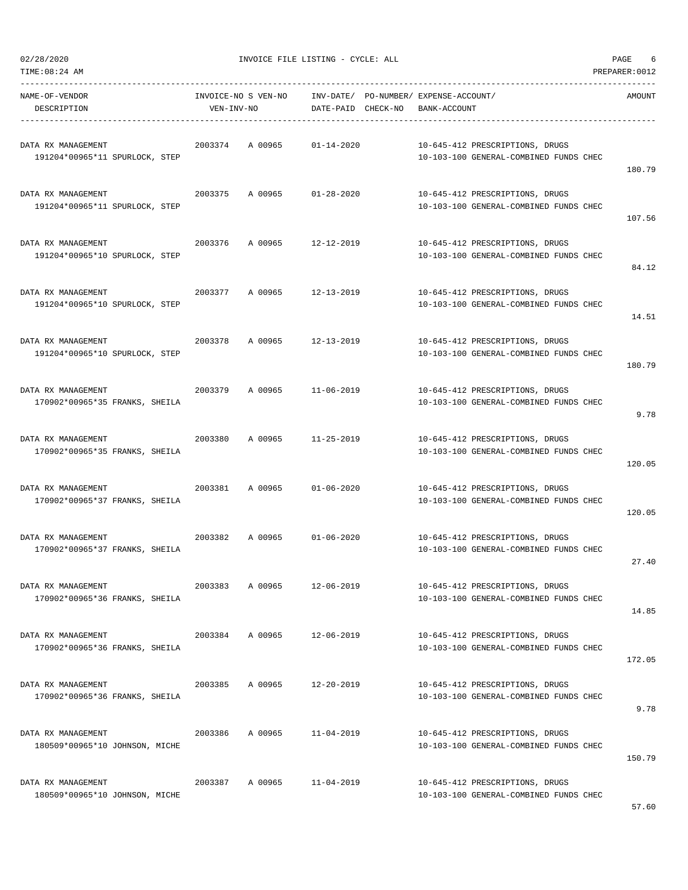| TIME: 08: 24 AM                                      |                     |                    |                                                                           | PREPARER: 0012 |
|------------------------------------------------------|---------------------|--------------------|---------------------------------------------------------------------------|----------------|
| NAME-OF-VENDOR                                       | INVOICE-NO S VEN-NO |                    | INV-DATE/ PO-NUMBER/ EXPENSE-ACCOUNT/                                     | AMOUNT         |
| DESCRIPTION                                          | VEN-INV-NO          | DATE-PAID CHECK-NO | BANK-ACCOUNT                                                              |                |
| DATA RX MANAGEMENT<br>191204*00965*11 SPURLOCK, STEP | 2003374<br>A 00965  | $01 - 14 - 2020$   | 10-645-412 PRESCRIPTIONS, DRUGS<br>10-103-100 GENERAL-COMBINED FUNDS CHEC | 180.79         |
| DATA RX MANAGEMENT<br>191204*00965*11 SPURLOCK, STEP | 2003375<br>A 00965  | $01 - 28 - 2020$   | 10-645-412 PRESCRIPTIONS, DRUGS<br>10-103-100 GENERAL-COMBINED FUNDS CHEC | 107.56         |
| DATA RX MANAGEMENT<br>191204*00965*10 SPURLOCK, STEP | 2003376<br>A 00965  | 12-12-2019         | 10-645-412 PRESCRIPTIONS, DRUGS<br>10-103-100 GENERAL-COMBINED FUNDS CHEC | 84.12          |
| DATA RX MANAGEMENT<br>191204*00965*10 SPURLOCK, STEP | 2003377<br>A 00965  | 12-13-2019         | 10-645-412 PRESCRIPTIONS, DRUGS<br>10-103-100 GENERAL-COMBINED FUNDS CHEC | 14.51          |
| DATA RX MANAGEMENT<br>191204*00965*10 SPURLOCK, STEP | 2003378<br>A 00965  | $12 - 13 - 2019$   | 10-645-412 PRESCRIPTIONS, DRUGS<br>10-103-100 GENERAL-COMBINED FUNDS CHEC | 180.79         |
| DATA RX MANAGEMENT<br>170902*00965*35 FRANKS, SHEILA | 2003379<br>A 00965  | 11-06-2019         | 10-645-412 PRESCRIPTIONS, DRUGS<br>10-103-100 GENERAL-COMBINED FUNDS CHEC | 9.78           |
| DATA RX MANAGEMENT<br>170902*00965*35 FRANKS, SHEILA | 2003380<br>A 00965  | $11 - 25 - 2019$   | 10-645-412 PRESCRIPTIONS, DRUGS<br>10-103-100 GENERAL-COMBINED FUNDS CHEC | 120.05         |
| DATA RX MANAGEMENT<br>170902*00965*37 FRANKS, SHEILA | 2003381<br>A 00965  | $01 - 06 - 2020$   | 10-645-412 PRESCRIPTIONS, DRUGS<br>10-103-100 GENERAL-COMBINED FUNDS CHEC | 120.05         |
| DATA RX MANAGEMENT<br>170902*00965*37 FRANKS, SHEILA | 2003382<br>A 00965  | $01 - 06 - 2020$   | 10-645-412 PRESCRIPTIONS, DRUGS<br>10-103-100 GENERAL-COMBINED FUNDS CHEC | 27.40          |
| DATA RX MANAGEMENT<br>170902*00965*36 FRANKS, SHEILA | A 00965<br>2003383  | 12-06-2019         | 10-645-412 PRESCRIPTIONS, DRUGS<br>10-103-100 GENERAL-COMBINED FUNDS CHEC | 14.85          |
| DATA RX MANAGEMENT<br>170902*00965*36 FRANKS, SHEILA | 2003384<br>A 00965  | $12 - 06 - 2019$   | 10-645-412 PRESCRIPTIONS, DRUGS<br>10-103-100 GENERAL-COMBINED FUNDS CHEC | 172.05         |
| DATA RX MANAGEMENT<br>170902*00965*36 FRANKS, SHEILA | 2003385<br>A 00965  | $12 - 20 - 2019$   | 10-645-412 PRESCRIPTIONS, DRUGS<br>10-103-100 GENERAL-COMBINED FUNDS CHEC | 9.78           |
| DATA RX MANAGEMENT<br>180509*00965*10 JOHNSON, MICHE | 2003386<br>A 00965  | $11 - 04 - 2019$   | 10-645-412 PRESCRIPTIONS, DRUGS<br>10-103-100 GENERAL-COMBINED FUNDS CHEC | 150.79         |
| DATA RX MANAGEMENT<br>180509*00965*10 JOHNSON, MICHE | 2003387<br>A 00965  | $11 - 04 - 2019$   | 10-645-412 PRESCRIPTIONS, DRUGS<br>10-103-100 GENERAL-COMBINED FUNDS CHEC |                |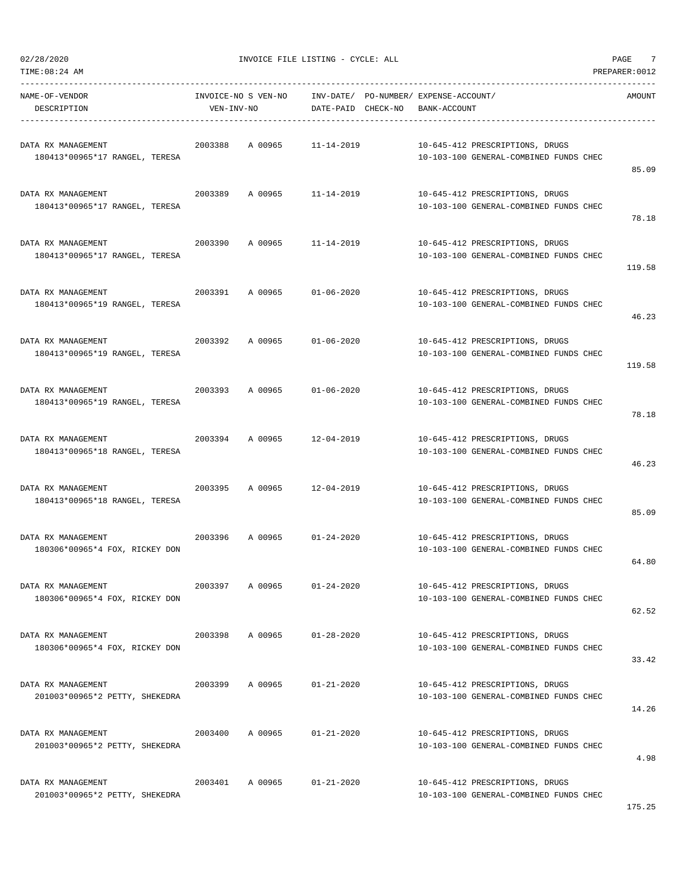$02/28/2020$  PAGE  $7$ 

-----------------------------------------------------------------------------------------------------------------------------------

| NAME-OF-VENDOR<br>DESCRIPTION                        | VEN-INV-NO | INVOICE-NO S VEN-NO | DATE-PAID        | CHECK-NO | INV-DATE/ PO-NUMBER/ EXPENSE-ACCOUNT/<br>BANK-ACCOUNT |                                                                           | AMOUNT |
|------------------------------------------------------|------------|---------------------|------------------|----------|-------------------------------------------------------|---------------------------------------------------------------------------|--------|
| DATA RX MANAGEMENT<br>180413*00965*17 RANGEL, TERESA | 2003388    | A 00965             | $11 - 14 - 2019$ |          |                                                       | 10-645-412 PRESCRIPTIONS, DRUGS<br>10-103-100 GENERAL-COMBINED FUNDS CHEC | 85.09  |
| DATA RX MANAGEMENT<br>180413*00965*17 RANGEL, TERESA | 2003389    | A 00965             | $11 - 14 - 2019$ |          |                                                       | 10-645-412 PRESCRIPTIONS, DRUGS<br>10-103-100 GENERAL-COMBINED FUNDS CHEC | 78.18  |
| DATA RX MANAGEMENT<br>180413*00965*17 RANGEL, TERESA | 2003390    | A 00965             | $11 - 14 - 2019$ |          |                                                       | 10-645-412 PRESCRIPTIONS, DRUGS<br>10-103-100 GENERAL-COMBINED FUNDS CHEC | 119.58 |
| DATA RX MANAGEMENT<br>180413*00965*19 RANGEL, TERESA | 2003391    | A 00965             | $01 - 06 - 2020$ |          |                                                       | 10-645-412 PRESCRIPTIONS, DRUGS<br>10-103-100 GENERAL-COMBINED FUNDS CHEC | 46.23  |
| DATA RX MANAGEMENT<br>180413*00965*19 RANGEL, TERESA | 2003392    | A 00965             | $01 - 06 - 2020$ |          |                                                       | 10-645-412 PRESCRIPTIONS, DRUGS<br>10-103-100 GENERAL-COMBINED FUNDS CHEC | 119.58 |
| DATA RX MANAGEMENT<br>180413*00965*19 RANGEL, TERESA | 2003393    | A 00965             | $01 - 06 - 2020$ |          |                                                       | 10-645-412 PRESCRIPTIONS, DRUGS<br>10-103-100 GENERAL-COMBINED FUNDS CHEC | 78.18  |
| DATA RX MANAGEMENT<br>180413*00965*18 RANGEL, TERESA | 2003394    | A 00965             | $12 - 04 - 2019$ |          |                                                       | 10-645-412 PRESCRIPTIONS, DRUGS<br>10-103-100 GENERAL-COMBINED FUNDS CHEC | 46.23  |
| DATA RX MANAGEMENT<br>180413*00965*18 RANGEL, TERESA | 2003395    | A 00965             | $12 - 04 - 2019$ |          |                                                       | 10-645-412 PRESCRIPTIONS, DRUGS<br>10-103-100 GENERAL-COMBINED FUNDS CHEC | 85.09  |
| DATA RX MANAGEMENT<br>180306*00965*4 FOX, RICKEY DON | 2003396    | A 00965             | $01 - 24 - 2020$ |          |                                                       | 10-645-412 PRESCRIPTIONS, DRUGS<br>10-103-100 GENERAL-COMBINED FUNDS CHEC | 64.80  |
| DATA RX MANAGEMENT<br>180306*00965*4 FOX, RICKEY DON | 2003397    | A 00965             | $01 - 24 - 2020$ |          |                                                       | 10-645-412 PRESCRIPTIONS, DRUGS<br>10-103-100 GENERAL-COMBINED FUNDS CHEC | 62.52  |
| DATA RX MANAGEMENT<br>180306*00965*4 FOX, RICKEY DON | 2003398    | A 00965             | $01 - 28 - 2020$ |          |                                                       | 10-645-412 PRESCRIPTIONS, DRUGS<br>10-103-100 GENERAL-COMBINED FUNDS CHEC | 33.42  |
| DATA RX MANAGEMENT<br>201003*00965*2 PETTY, SHEKEDRA | 2003399    | A 00965             | $01 - 21 - 2020$ |          |                                                       | 10-645-412 PRESCRIPTIONS, DRUGS<br>10-103-100 GENERAL-COMBINED FUNDS CHEC | 14.26  |
| DATA RX MANAGEMENT<br>201003*00965*2 PETTY, SHEKEDRA | 2003400    | A 00965             | $01 - 21 - 2020$ |          |                                                       | 10-645-412 PRESCRIPTIONS, DRUGS<br>10-103-100 GENERAL-COMBINED FUNDS CHEC | 4.98   |
| DATA RX MANAGEMENT<br>201003*00965*2 PETTY, SHEKEDRA | 2003401    | A 00965             | $01 - 21 - 2020$ |          |                                                       | 10-645-412 PRESCRIPTIONS, DRUGS<br>10-103-100 GENERAL-COMBINED FUNDS CHEC |        |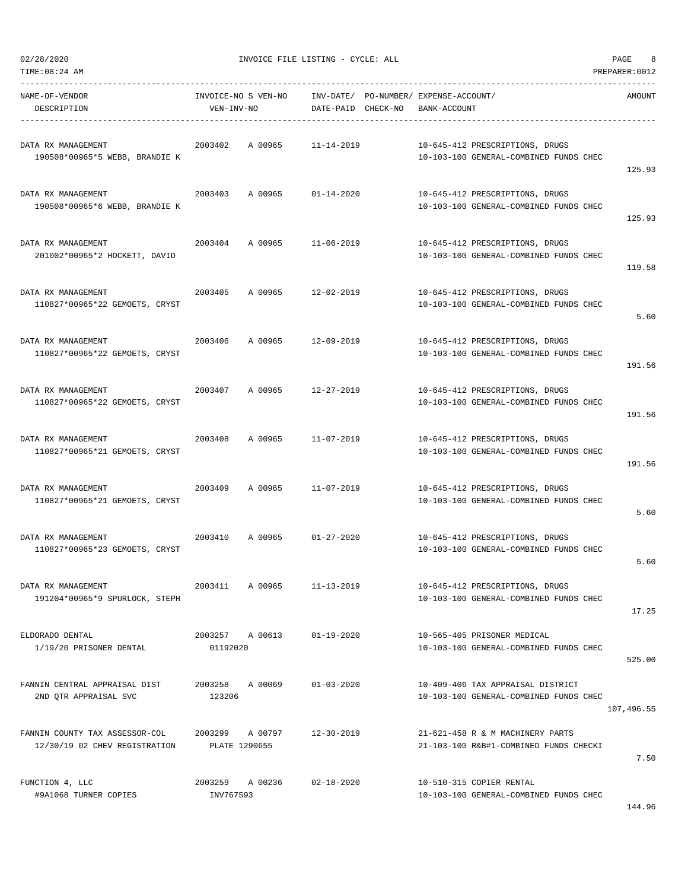| TIME: 08: 24 AM                                                 |                                   |                                                             |                                                                             | PREPARER: 0012 |
|-----------------------------------------------------------------|-----------------------------------|-------------------------------------------------------------|-----------------------------------------------------------------------------|----------------|
| NAME-OF-VENDOR<br>DESCRIPTION                                   | INVOICE-NO S VEN-NO<br>VEN-INV-NO | INV-DATE/ PO-NUMBER/ EXPENSE-ACCOUNT/<br>DATE-PAID CHECK-NO | BANK-ACCOUNT                                                                | AMOUNT         |
| DATA RX MANAGEMENT<br>190508*00965*5 WEBB, BRANDIE K            | 2003402                           | A 00965 11-14-2019                                          | 10-645-412 PRESCRIPTIONS, DRUGS<br>10-103-100 GENERAL-COMBINED FUNDS CHEC   | 125.93         |
| DATA RX MANAGEMENT<br>190508*00965*6 WEBB, BRANDIE K            | 2003403 A 00965                   | $01 - 14 - 2020$                                            | 10-645-412 PRESCRIPTIONS, DRUGS<br>10-103-100 GENERAL-COMBINED FUNDS CHEC   | 125.93         |
| DATA RX MANAGEMENT<br>201002*00965*2 HOCKETT, DAVID             | 2003404<br>A 00965                | 11-06-2019                                                  | 10-645-412 PRESCRIPTIONS, DRUGS<br>10-103-100 GENERAL-COMBINED FUNDS CHEC   | 119.58         |
| DATA RX MANAGEMENT<br>110827*00965*22 GEMOETS, CRYST            | 2003405                           | A 00965 12-02-2019                                          | 10-645-412 PRESCRIPTIONS, DRUGS<br>10-103-100 GENERAL-COMBINED FUNDS CHEC   | 5.60           |
| DATA RX MANAGEMENT<br>110827*00965*22 GEMOETS, CRYST            | 2003406                           | A 00965 12-09-2019                                          | 10-645-412 PRESCRIPTIONS, DRUGS<br>10-103-100 GENERAL-COMBINED FUNDS CHEC   | 191.56         |
| DATA RX MANAGEMENT<br>110827*00965*22 GEMOETS, CRYST            | 2003407<br>A 00965                | 12-27-2019                                                  | 10-645-412 PRESCRIPTIONS, DRUGS<br>10-103-100 GENERAL-COMBINED FUNDS CHEC   | 191.56         |
| DATA RX MANAGEMENT<br>110827*00965*21 GEMOETS, CRYST            | 2003408<br>A 00965                | 11-07-2019                                                  | 10-645-412 PRESCRIPTIONS, DRUGS<br>10-103-100 GENERAL-COMBINED FUNDS CHEC   | 191.56         |
| DATA RX MANAGEMENT<br>110827*00965*21 GEMOETS, CRYST            | 2003409<br>A 00965                | 11-07-2019                                                  | 10-645-412 PRESCRIPTIONS, DRUGS<br>10-103-100 GENERAL-COMBINED FUNDS CHEC   | 5.60           |
| DATA RX MANAGEMENT<br>110827*00965*23 GEMOETS, CRYST            | 2003410                           | A 00965 01-27-2020                                          | 10-645-412 PRESCRIPTIONS, DRUGS<br>10-103-100 GENERAL-COMBINED FUNDS CHEC   | 5.60           |
| DATA RX MANAGEMENT<br>191204*00965*9 SPURLOCK, STEPH            | 2003411<br>A 00965                | $11 - 13 - 2019$                                            | 10-645-412 PRESCRIPTIONS, DRUGS<br>10-103-100 GENERAL-COMBINED FUNDS CHEC   | 17.25          |
| ELDORADO DENTAL<br>1/19/20 PRISONER DENTAL                      | 2003257 A 00613<br>01192020       | $01 - 19 - 2020$                                            | 10-565-405 PRISONER MEDICAL<br>10-103-100 GENERAL-COMBINED FUNDS CHEC       | 525.00         |
| FANNIN CENTRAL APPRAISAL DIST<br>2ND QTR APPRAISAL SVC          | A 00069<br>2003258<br>123206      | $01 - 03 - 2020$                                            | 10-409-406 TAX APPRAISAL DISTRICT<br>10-103-100 GENERAL-COMBINED FUNDS CHEC | 107,496.55     |
| FANNIN COUNTY TAX ASSESSOR-COL<br>12/30/19 02 CHEV REGISTRATION | 2003299 A 00797<br>PLATE 1290655  | $12 - 30 - 2019$                                            | 21-621-458 R & M MACHINERY PARTS<br>21-103-100 R&B#1-COMBINED FUNDS CHECKI  | 7.50           |
| FUNCTION 4, LLC<br>#9A1068 TURNER COPIES                        | 2003259 A 00236<br>INV767593      | $02 - 18 - 2020$                                            | 10-510-315 COPIER RENTAL<br>10-103-100 GENERAL-COMBINED FUNDS CHEC          |                |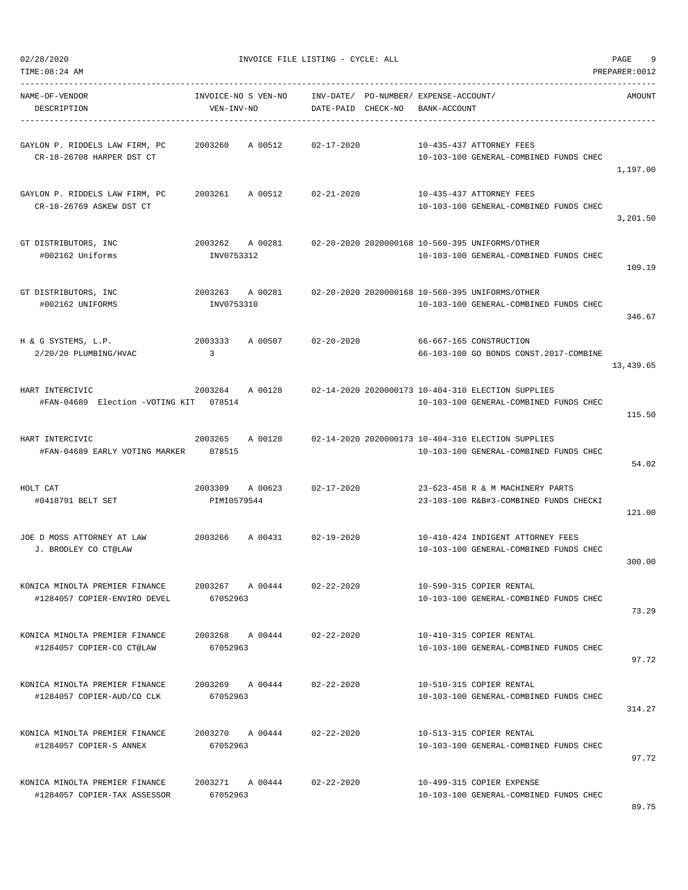| 02/28/2020                                                     |                                   | INVOICE FILE LISTING - CYCLE: ALL                           |                                                                                              | PAGE<br>9      |
|----------------------------------------------------------------|-----------------------------------|-------------------------------------------------------------|----------------------------------------------------------------------------------------------|----------------|
| TIME: 08:24 AM                                                 |                                   |                                                             |                                                                                              | PREPARER: 0012 |
| NAME-OF-VENDOR<br>DESCRIPTION                                  | INVOICE-NO S VEN-NO<br>VEN-INV-NO | INV-DATE/ PO-NUMBER/ EXPENSE-ACCOUNT/<br>DATE-PAID CHECK-NO | BANK-ACCOUNT                                                                                 | AMOUNT         |
| GAYLON P. RIDDELS LAW FIRM, PC<br>CR-18-26708 HARPER DST CT    | 2003260<br>A 00512                | $02 - 17 - 2020$                                            | 10-435-437 ATTORNEY FEES<br>10-103-100 GENERAL-COMBINED FUNDS CHEC                           | 1,197.00       |
| GAYLON P. RIDDELS LAW FIRM, PC<br>CR-18-26769 ASKEW DST CT     | A 00512<br>2003261                | $02 - 21 - 2020$                                            | 10-435-437 ATTORNEY FEES<br>10-103-100 GENERAL-COMBINED FUNDS CHEC                           | 3,201.50       |
| GT DISTRIBUTORS, INC<br>#002162 Uniforms                       | 2003262<br>A 00281<br>INV0753312  |                                                             | 02-20-2020 2020000168 10-560-395 UNIFORMS/OTHER<br>10-103-100 GENERAL-COMBINED FUNDS CHEC    | 109.19         |
| GT DISTRIBUTORS, INC<br>#002162 UNIFORMS                       | 2003263<br>A 00281<br>INV0753310  |                                                             | 02-20-2020 2020000168 10-560-395 UNIFORMS/OTHER<br>10-103-100 GENERAL-COMBINED FUNDS CHEC    | 346.67         |
| H & G SYSTEMS, L.P.<br>2/20/20 PLUMBING/HVAC                   | 2003333<br>A 00507<br>3           | 02-20-2020                                                  | 66-667-165 CONSTRUCTION<br>66-103-100 GO BONDS CONST.2017-COMBINE                            | 13,439.65      |
| HART INTERCIVIC<br>#FAN-04689 Election -VOTING KIT 078514      | 2003264<br>A 00128                |                                                             | 02-14-2020 2020000173 10-404-310 ELECTION SUPPLIES<br>10-103-100 GENERAL-COMBINED FUNDS CHEC | 115.50         |
| HART INTERCIVIC<br>#FAN-04689 EARLY VOTING MARKER 078515       | 2003265<br>A 00128                |                                                             | 02-14-2020 2020000173 10-404-310 ELECTION SUPPLIES<br>10-103-100 GENERAL-COMBINED FUNDS CHEC | 54.02          |
| HOLT CAT<br>#0418791 BELT SET                                  | 2003309<br>A 00623<br>PIMI0579544 | $02 - 17 - 2020$                                            | 23-623-458 R & M MACHINERY PARTS<br>23-103-100 R&B#3-COMBINED FUNDS CHECKI                   | 121.00         |
| JOE D MOSS ATTORNEY AT LAW<br>J. BRODLEY CO CT@LAW             | 2003266<br>A 00431                | 02-19-2020                                                  | 10-410-424 INDIGENT ATTORNEY FEES<br>10-103-100 GENERAL-COMBINED FUNDS CHEC                  | 300.00         |
| KONICA MINOLTA PREMIER FINANCE<br>#1284057 COPIER-ENVIRO DEVEL | 2003267 A 00444<br>67052963       | $02 - 22 - 2020$                                            | 10-590-315 COPIER RENTAL<br>10-103-100 GENERAL-COMBINED FUNDS CHEC                           | 73.29          |
| KONICA MINOLTA PREMIER FINANCE<br>#1284057 COPIER-CO CT@LAW    | 2003268 A 00444<br>67052963       | $02 - 22 - 2020$                                            | 10-410-315 COPIER RENTAL<br>10-103-100 GENERAL-COMBINED FUNDS CHEC                           | 97.72          |
| KONICA MINOLTA PREMIER FINANCE<br>#1284057 COPIER-AUD/CO CLK   | 2003269 A 00444<br>67052963       | $02 - 22 - 2020$                                            | 10-510-315 COPIER RENTAL<br>10-103-100 GENERAL-COMBINED FUNDS CHEC                           | 314.27         |
| KONICA MINOLTA PREMIER FINANCE<br>#1284057 COPIER-S ANNEX      | 2003270 A 00444<br>67052963       | $02 - 22 - 2020$                                            | 10-513-315 COPIER RENTAL<br>10-103-100 GENERAL-COMBINED FUNDS CHEC                           | 97.72          |
| KONICA MINOLTA PREMIER FINANCE<br>#1284057 COPIER-TAX ASSESSOR | 2003271 A 00444<br>67052963       | $02 - 22 - 2020$                                            | 10-499-315 COPIER EXPENSE<br>10-103-100 GENERAL-COMBINED FUNDS CHEC                          |                |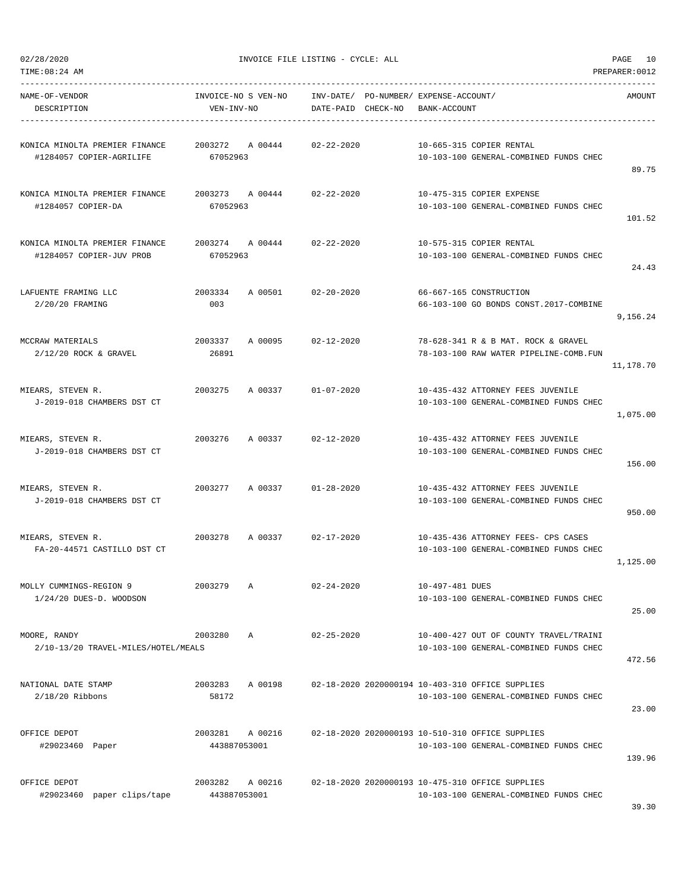|  | 02/28/2020 |
|--|------------|

INVOICE FILE LISTING - CYCLE: ALL PAGE 10

TIME:08:24 AM PREPARER:0012

| NAME-OF-VENDOR<br>DESCRIPTION                              | INVOICE-NO S VEN-NO<br>VEN-INV-NO |              | INV-DATE/ PO-NUMBER/ EXPENSE-ACCOUNT/<br>DATE-PAID CHECK-NO | BANK-ACCOUNT    |                                                                                            | AMOUNT    |
|------------------------------------------------------------|-----------------------------------|--------------|-------------------------------------------------------------|-----------------|--------------------------------------------------------------------------------------------|-----------|
| KONICA MINOLTA PREMIER FINANCE<br>#1284057 COPIER-AGRILIFE | 2003272 A 00444<br>67052963       |              | $02 - 22 - 2020$                                            |                 | 10-665-315 COPIER RENTAL<br>10-103-100 GENERAL-COMBINED FUNDS CHEC                         | 89.75     |
| KONICA MINOLTA PREMIER FINANCE<br>#1284057 COPIER-DA       | 67052963                          |              | 2003273 A 00444 02-22-2020                                  |                 | 10-475-315 COPIER EXPENSE<br>10-103-100 GENERAL-COMBINED FUNDS CHEC                        | 101.52    |
| KONICA MINOLTA PREMIER FINANCE<br>#1284057 COPIER-JUV PROB | 67052963                          |              | 2003274 A 00444 02-22-2020                                  |                 | 10-575-315 COPIER RENTAL<br>10-103-100 GENERAL-COMBINED FUNDS CHEC                         | 24.43     |
| LAFUENTE FRAMING LLC<br>2/20/20 FRAMING                    | 2003334<br>003                    |              | A 00501 02-20-2020                                          |                 | 66-667-165 CONSTRUCTION<br>66-103-100 GO BONDS CONST.2017-COMBINE                          | 9,156.24  |
| MCCRAW MATERIALS<br>$2/12/20$ ROCK & GRAVEL                | 2003337<br>26891                  |              | A 00095 02-12-2020                                          |                 | 78-628-341 R & B MAT. ROCK & GRAVEL<br>78-103-100 RAW WATER PIPELINE-COMB.FUN              | 11,178.70 |
| MIEARS, STEVEN R.<br>J-2019-018 CHAMBERS DST CT            | 2003275                           |              | A 00337 01-07-2020                                          |                 | 10-435-432 ATTORNEY FEES JUVENILE<br>10-103-100 GENERAL-COMBINED FUNDS CHEC                | 1,075.00  |
| MIEARS, STEVEN R.<br>J-2019-018 CHAMBERS DST CT            | 2003276                           | A 00337      | 02-12-2020                                                  |                 | 10-435-432 ATTORNEY FEES JUVENILE<br>10-103-100 GENERAL-COMBINED FUNDS CHEC                | 156.00    |
| MIEARS, STEVEN R.<br>J-2019-018 CHAMBERS DST CT            | 2003277                           | A 00337      | 01-28-2020                                                  |                 | 10-435-432 ATTORNEY FEES JUVENILE<br>10-103-100 GENERAL-COMBINED FUNDS CHEC                | 950.00    |
| MIEARS, STEVEN R.<br>FA-20-44571 CASTILLO DST CT           | 2003278                           |              | A 00337 02-17-2020                                          |                 | 10-435-436 ATTORNEY FEES- CPS CASES<br>10-103-100 GENERAL-COMBINED FUNDS CHEC              | 1,125.00  |
| MOLLY CUMMINGS-REGION 9<br>1/24/20 DUES-D. WOODSON         | 2003279                           | Α            | $02 - 24 - 2020$                                            | 10-497-481 DUES | 10-103-100 GENERAL-COMBINED FUNDS CHEC                                                     | 25.00     |
| MOORE, RANDY<br>2/10-13/20 TRAVEL-MILES/HOTEL/MEALS        | 2003280                           | $\mathbb{A}$ | $02 - 25 - 2020$                                            |                 | 10-400-427 OUT OF COUNTY TRAVEL/TRAINI<br>10-103-100 GENERAL-COMBINED FUNDS CHEC           | 472.56    |
| NATIONAL DATE STAMP<br>$2/18/20$ Ribbons                   | 2003283<br>58172                  | A 00198      |                                                             |                 | 02-18-2020 2020000194 10-403-310 OFFICE SUPPLIES<br>10-103-100 GENERAL-COMBINED FUNDS CHEC | 23.00     |
| OFFICE DEPOT<br>#29023460 Paper                            | 2003281<br>443887053001           | A 00216      |                                                             |                 | 02-18-2020 2020000193 10-510-310 OFFICE SUPPLIES<br>10-103-100 GENERAL-COMBINED FUNDS CHEC | 139.96    |
| OFFICE DEPOT<br>#29023460 paper clips/tape                 | 2003282<br>443887053001           | A 00216      |                                                             |                 | 02-18-2020 2020000193 10-475-310 OFFICE SUPPLIES<br>10-103-100 GENERAL-COMBINED FUNDS CHEC |           |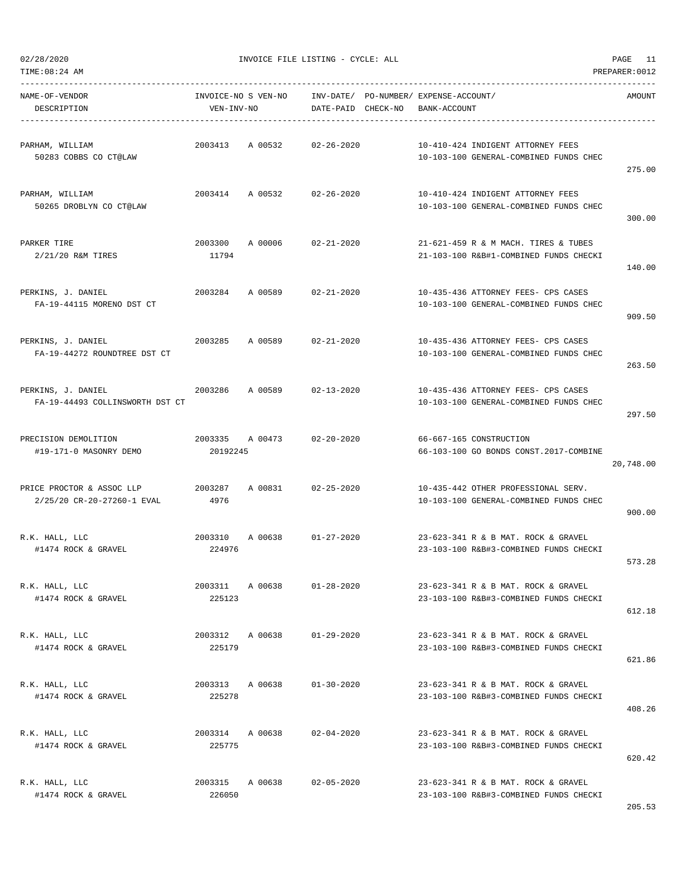TIME:08:24 AM PREPARER:0012

02/28/2020 INVOICE FILE LISTING - CYCLE: ALL PAGE 11

| NAME-OF-VENDOR<br>DESCRIPTION                                    | INVOICE-NO S VEN-NO<br>VEN-INV-NO |         | DATE-PAID CHECK-NO | INV-DATE/ PO-NUMBER/ EXPENSE-ACCOUNT/<br>BANK-ACCOUNT                          | AMOUNT    |
|------------------------------------------------------------------|-----------------------------------|---------|--------------------|--------------------------------------------------------------------------------|-----------|
| PARHAM, WILLIAM<br>50283 COBBS CO CT@LAW                         | 2003413                           | A 00532 | $02 - 26 - 2020$   | 10-410-424 INDIGENT ATTORNEY FEES<br>10-103-100 GENERAL-COMBINED FUNDS CHEC    | 275.00    |
| PARHAM, WILLIAM<br>50265 DROBLYN CO CT@LAW                       | 2003414 A 00532                   |         | $02 - 26 - 2020$   | 10-410-424 INDIGENT ATTORNEY FEES<br>10-103-100 GENERAL-COMBINED FUNDS CHEC    | 300.00    |
| PARKER TIRE<br>2/21/20 R&M TIRES                                 | 2003300<br>11794                  | A 00006 | $02 - 21 - 2020$   | 21-621-459 R & M MACH. TIRES & TUBES<br>21-103-100 R&B#1-COMBINED FUNDS CHECKI | 140.00    |
| PERKINS, J. DANIEL<br>FA-19-44115 MORENO DST CT                  | 2003284                           | A 00589 | $02 - 21 - 2020$   | 10-435-436 ATTORNEY FEES- CPS CASES<br>10-103-100 GENERAL-COMBINED FUNDS CHEC  | 909.50    |
| PERKINS, J. DANIEL<br>FA-19-44272 ROUNDTREE DST CT               | 2003285 A 00589                   |         | $02 - 21 - 2020$   | 10-435-436 ATTORNEY FEES- CPS CASES<br>10-103-100 GENERAL-COMBINED FUNDS CHEC  | 263.50    |
| PERKINS, J. DANIEL<br>2003286<br>FA-19-44493 COLLINSWORTH DST CT |                                   | A 00589 | $02 - 13 - 2020$   | 10-435-436 ATTORNEY FEES- CPS CASES<br>10-103-100 GENERAL-COMBINED FUNDS CHEC  | 297.50    |
| PRECISION DEMOLITION<br>#19-171-0 MASONRY DEMO                   | 2003335 A 00473<br>20192245       |         | 02-20-2020         | 66-667-165 CONSTRUCTION<br>66-103-100 GO BONDS CONST.2017-COMBINE              | 20,748.00 |
| PRICE PROCTOR & ASSOC LLP<br>2/25/20 CR-20-27260-1 EVAL          | 2003287<br>4976                   | A 00831 | 02-25-2020         | 10-435-442 OTHER PROFESSIONAL SERV.<br>10-103-100 GENERAL-COMBINED FUNDS CHEC  | 900.00    |
| R.K. HALL, LLC<br>#1474 ROCK & GRAVEL                            | 2003310<br>224976                 | A 00638 | $01 - 27 - 2020$   | 23-623-341 R & B MAT. ROCK & GRAVEL<br>23-103-100 R&B#3-COMBINED FUNDS CHECKI  | 573.28    |
| R.K. HALL, LLC<br>#1474 ROCK & GRAVEL                            | 2003311<br>225123                 | A 00638 | $01 - 28 - 2020$   | 23-623-341 R & B MAT. ROCK & GRAVEL<br>23-103-100 R&B#3-COMBINED FUNDS CHECKI  | 612.18    |
| R.K. HALL, LLC<br>#1474 ROCK & GRAVEL                            | 2003312<br>225179                 | A 00638 | $01 - 29 - 2020$   | 23-623-341 R & B MAT. ROCK & GRAVEL<br>23-103-100 R&B#3-COMBINED FUNDS CHECKI  | 621.86    |
| R.K. HALL, LLC<br>#1474 ROCK & GRAVEL                            | 2003313 A 00638<br>225278         |         | $01 - 30 - 2020$   | 23-623-341 R & B MAT. ROCK & GRAVEL<br>23-103-100 R&B#3-COMBINED FUNDS CHECKI  | 408.26    |
| R.K. HALL, LLC<br>#1474 ROCK & GRAVEL                            | 2003314<br>225775                 | A 00638 | $02 - 04 - 2020$   | 23-623-341 R & B MAT. ROCK & GRAVEL<br>23-103-100 R&B#3-COMBINED FUNDS CHECKI  | 620.42    |
| R.K. HALL, LLC<br>#1474 ROCK & GRAVEL                            | 2003315<br>226050                 | A 00638 | $02 - 05 - 2020$   | 23-623-341 R & B MAT. ROCK & GRAVEL<br>23-103-100 R&B#3-COMBINED FUNDS CHECKI  | 205.53    |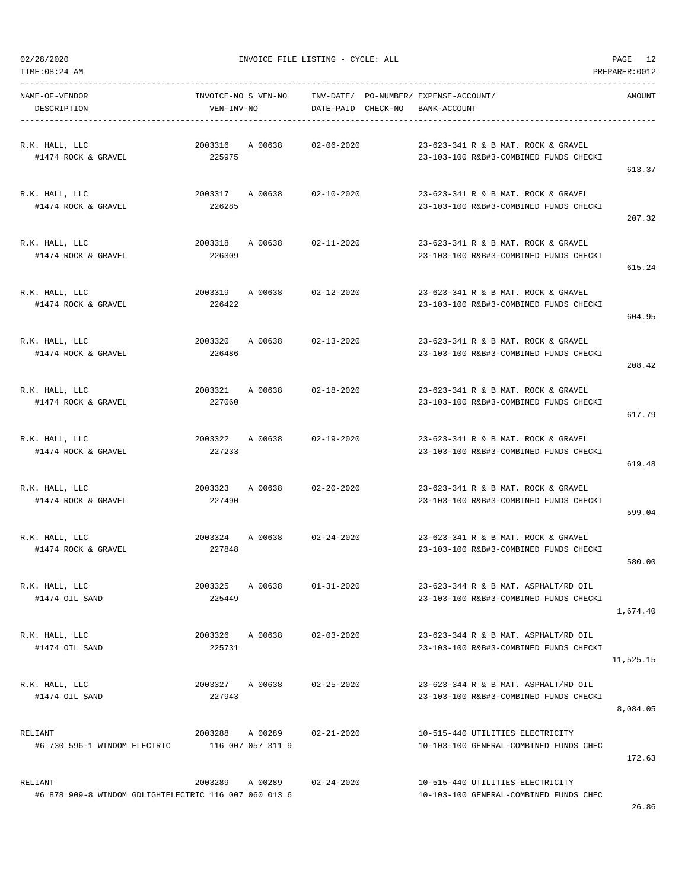| TIME: 08:24 AM<br>PREPARER: 0012                                 |                                      |         |                    |  |                                                                                |           |  |
|------------------------------------------------------------------|--------------------------------------|---------|--------------------|--|--------------------------------------------------------------------------------|-----------|--|
| NAME-OF-VENDOR<br>DESCRIPTION                                    | INVOICE-NO S VEN-NO<br>VEN-INV-NO    |         | DATE-PAID CHECK-NO |  | INV-DATE/ PO-NUMBER/ EXPENSE-ACCOUNT/<br>BANK-ACCOUNT                          | AMOUNT    |  |
| R.K. HALL, LLC<br>#1474 ROCK & GRAVEL                            | 2003316 A 00638<br>225975            |         | $02 - 06 - 2020$   |  | 23-623-341 R & B MAT. ROCK & GRAVEL<br>23-103-100 R&B#3-COMBINED FUNDS CHECKI  | 613.37    |  |
| R.K. HALL, LLC<br>#1474 ROCK & GRAVEL                            | 2003317 A 00638<br>226285            |         | 02-10-2020         |  | 23-623-341 R & B MAT. ROCK & GRAVEL<br>23-103-100 R&B#3-COMBINED FUNDS CHECKI  | 207.32    |  |
| R.K. HALL, LLC<br>#1474 ROCK & GRAVEL                            | 2003318<br>226309                    | A 00638 | $02 - 11 - 2020$   |  | 23-623-341 R & B MAT. ROCK & GRAVEL<br>23-103-100 R&B#3-COMBINED FUNDS CHECKI  | 615.24    |  |
| R.K. HALL, LLC<br>#1474 ROCK & GRAVEL                            | 2003319 A 00638<br>226422            |         | 02-12-2020         |  | 23-623-341 R & B MAT. ROCK & GRAVEL<br>23-103-100 R&B#3-COMBINED FUNDS CHECKI  | 604.95    |  |
| R.K. HALL, LLC<br>#1474 ROCK & GRAVEL                            | 2003320 A 00638<br>226486            |         | 02-13-2020         |  | 23-623-341 R & B MAT. ROCK & GRAVEL<br>23-103-100 R&B#3-COMBINED FUNDS CHECKI  | 208.42    |  |
| R.K. HALL, LLC<br>#1474 ROCK & GRAVEL                            | 2003321<br>227060                    | A 00638 | $02 - 18 - 2020$   |  | 23-623-341 R & B MAT, ROCK & GRAVEL<br>23-103-100 R&B#3-COMBINED FUNDS CHECKI  | 617.79    |  |
| R.K. HALL, LLC<br>#1474 ROCK & GRAVEL                            | 2003322<br>227233                    | A 00638 | $02 - 19 - 2020$   |  | 23-623-341 R & B MAT. ROCK & GRAVEL<br>23-103-100 R&B#3-COMBINED FUNDS CHECKI  | 619.48    |  |
| R.K. HALL, LLC<br>#1474 ROCK & GRAVEL                            | 2003323 A 00638<br>227490            |         | $02 - 20 - 2020$   |  | 23-623-341 R & B MAT. ROCK & GRAVEL<br>23-103-100 R&B#3-COMBINED FUNDS CHECKI  | 599.04    |  |
| R.K. HALL, LLC<br>#1474 ROCK & GRAVEL                            | 2003324<br>227848                    | A 00638 | $02 - 24 - 2020$   |  | 23-623-341 R & B MAT. ROCK & GRAVEL<br>23-103-100 R&B#3-COMBINED FUNDS CHECKI  | 580.00    |  |
| R.K. HALL, LLC<br>#1474 OIL SAND                                 | 2003325 A 00638<br>225449            |         | $01 - 31 - 2020$   |  | 23-623-344 R & B MAT. ASPHALT/RD OIL<br>23-103-100 R&B#3-COMBINED FUNDS CHECKI | 1,674.40  |  |
| R.K. HALL, LLC<br>#1474 OIL SAND                                 | 2003326 A 00638<br>225731            |         | $02 - 03 - 2020$   |  | 23-623-344 R & B MAT. ASPHALT/RD OIL<br>23-103-100 R&B#3-COMBINED FUNDS CHECKI | 11,525.15 |  |
| R.K. HALL, LLC<br>#1474 OIL SAND                                 | 2003327 A 00638<br>227943            |         | $02 - 25 - 2020$   |  | 23-623-344 R & B MAT. ASPHALT/RD OIL<br>23-103-100 R&B#3-COMBINED FUNDS CHECKI | 8,084.05  |  |
| RELIANT<br>#6 730 596-1 WINDOM ELECTRIC                          | 2003288 A 00289<br>116 007 057 311 9 |         | 02-21-2020         |  | 10-515-440 UTILITIES ELECTRICITY<br>10-103-100 GENERAL-COMBINED FUNDS CHEC     | 172.63    |  |
| RELIANT<br>#6 878 909-8 WINDOM GDLIGHTELECTRIC 116 007 060 013 6 | 2003289                              | A 00289 | $02 - 24 - 2020$   |  | 10-515-440 UTILITIES ELECTRICITY<br>10-103-100 GENERAL-COMBINED FUNDS CHEC     |           |  |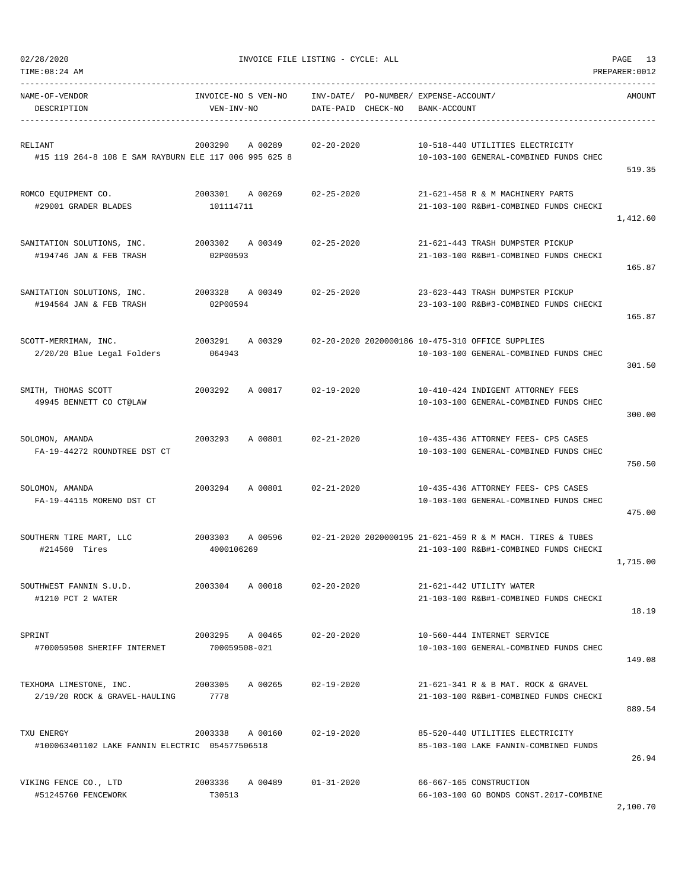| NAME-OF-VENDOR<br>DESCRIPTION                         | INVOICE-NO S VEN-NO INV-DATE/ PO-NUMBER/ EXPENSE-ACCOUNT/<br>VEN-INV-NO | DATE-PAID CHECK-NO | BANK-ACCOUNT                                                               | AMOUNT   |
|-------------------------------------------------------|-------------------------------------------------------------------------|--------------------|----------------------------------------------------------------------------|----------|
|                                                       |                                                                         |                    |                                                                            |          |
| RELIANT                                               | 2003290 A 00289                                                         | 02-20-2020         | 10-518-440 UTILITIES ELECTRICITY                                           |          |
| #15 119 264-8 108 E SAM RAYBURN ELE 117 006 995 625 8 |                                                                         |                    | 10-103-100 GENERAL-COMBINED FUNDS CHEC                                     | 519.35   |
| ROMCO EOUIPMENT CO.                                   | 2003301 A 00269 02-25-2020                                              |                    | 21-621-458 R & M MACHINERY PARTS                                           |          |
| #29001 GRADER BLADES                                  | 101114711                                                               |                    | 21-103-100 R&B#1-COMBINED FUNDS CHECKI                                     |          |
|                                                       |                                                                         |                    |                                                                            | 1,412.60 |
| SANITATION SOLUTIONS, INC.                            | 2003302 A 00349 02-25-2020                                              |                    | 21-621-443 TRASH DUMPSTER PICKUP                                           |          |
| #194746 JAN & FEB TRASH                               | 02P00593                                                                |                    | 21-103-100 R&B#1-COMBINED FUNDS CHECKI                                     |          |
|                                                       |                                                                         |                    |                                                                            | 165.87   |
| SANITATION SOLUTIONS, INC. 2003328 A 00349 02-25-2020 |                                                                         |                    | 23-623-443 TRASH DUMPSTER PICKUP                                           |          |
| #194564 JAN & FEB TRASH                               | 02P00594                                                                |                    | 23-103-100 R&B#3-COMBINED FUNDS CHECKI                                     |          |
|                                                       |                                                                         |                    |                                                                            | 165.87   |
| SCOTT-MERRIMAN, INC.                                  |                                                                         |                    |                                                                            |          |
| 2/20/20 Blue Legal Folders 064943                     |                                                                         |                    | 10-103-100 GENERAL-COMBINED FUNDS CHEC                                     |          |
|                                                       |                                                                         |                    |                                                                            | 301.50   |
| SMITH, THOMAS SCOTT                                   | 2003292 A 00817 02-19-2020                                              |                    | 10-410-424 INDIGENT ATTORNEY FEES                                          |          |
| 49945 BENNETT CO CT@LAW                               |                                                                         |                    | 10-103-100 GENERAL-COMBINED FUNDS CHEC                                     |          |
|                                                       |                                                                         |                    |                                                                            | 300.00   |
| SOLOMON, AMANDA                                       | 2003293 A 00801 02-21-2020                                              |                    | 10-435-436 ATTORNEY FEES- CPS CASES                                        |          |
| FA-19-44272 ROUNDTREE DST CT                          |                                                                         |                    | 10-103-100 GENERAL-COMBINED FUNDS CHEC                                     |          |
|                                                       |                                                                         |                    |                                                                            | 750.50   |
| SOLOMON, AMANDA                                       | 2003294 A 00801                                                         | $02 - 21 - 2020$   | 10-435-436 ATTORNEY FEES- CPS CASES                                        |          |
| FA-19-44115 MORENO DST CT                             |                                                                         |                    | 10-103-100 GENERAL-COMBINED FUNDS CHEC                                     |          |
|                                                       |                                                                         |                    |                                                                            | 475.00   |
| SOUTHERN TIRE MART, LLC                               |                                                                         |                    | 2003303 A 00596 02-21-2020 2020000195 21-621-459 R & M MACH. TIRES & TUBES |          |
| #214560 Tires                                         | 4000106269                                                              |                    | 21-103-100 R&B#1-COMBINED FUNDS CHECKI                                     |          |
|                                                       |                                                                         |                    |                                                                            | 1,715.00 |
| SOUTHWEST FANNIN S.U.D.                               | 2003304 A 00018                                                         | $02 - 20 - 2020$   | 21-621-442 UTILITY WATER                                                   |          |
| #1210 PCT 2 WATER                                     |                                                                         |                    | 21-103-100 R&B#1-COMBINED FUNDS CHECKI                                     |          |
|                                                       |                                                                         |                    |                                                                            | 18.19    |
| SPRINT                                                | 2003295 A 00465 02-20-2020                                              |                    | 10-560-444 INTERNET SERVICE                                                |          |
| #700059508 SHERIFF INTERNET                           | 700059508-021                                                           |                    | 10-103-100 GENERAL-COMBINED FUNDS CHEC                                     |          |
|                                                       |                                                                         |                    |                                                                            | 149.08   |
| TEXHOMA LIMESTONE, INC.                               | 2003305 A 00265                                                         | $02 - 19 - 2020$   | 21-621-341 R & B MAT. ROCK & GRAVEL                                        |          |
| 2/19/20 ROCK & GRAVEL-HAULING                         | 7778                                                                    |                    | 21-103-100 R&B#1-COMBINED FUNDS CHECKI                                     |          |
|                                                       |                                                                         |                    |                                                                            | 889.54   |
| TXU ENERGY                                            | 2003338 A 00160                                                         | 02-19-2020         | 85-520-440 UTILITIES ELECTRICITY                                           |          |
| #100063401102 LAKE FANNIN ELECTRIC 054577506518       |                                                                         |                    | 85-103-100 LAKE FANNIN-COMBINED FUNDS                                      |          |
|                                                       |                                                                         |                    |                                                                            | 26.94    |
| VIKING FENCE CO., LTD                                 | 2003336 A 00489 01-31-2020                                              |                    | 66-667-165 CONSTRUCTION                                                    |          |
| #51245760 FENCEWORK                                   | T30513                                                                  |                    | 66-103-100 GO BONDS CONST.2017-COMBINE                                     |          |

TIME:08:24 AM PREPARER:0012

2,100.70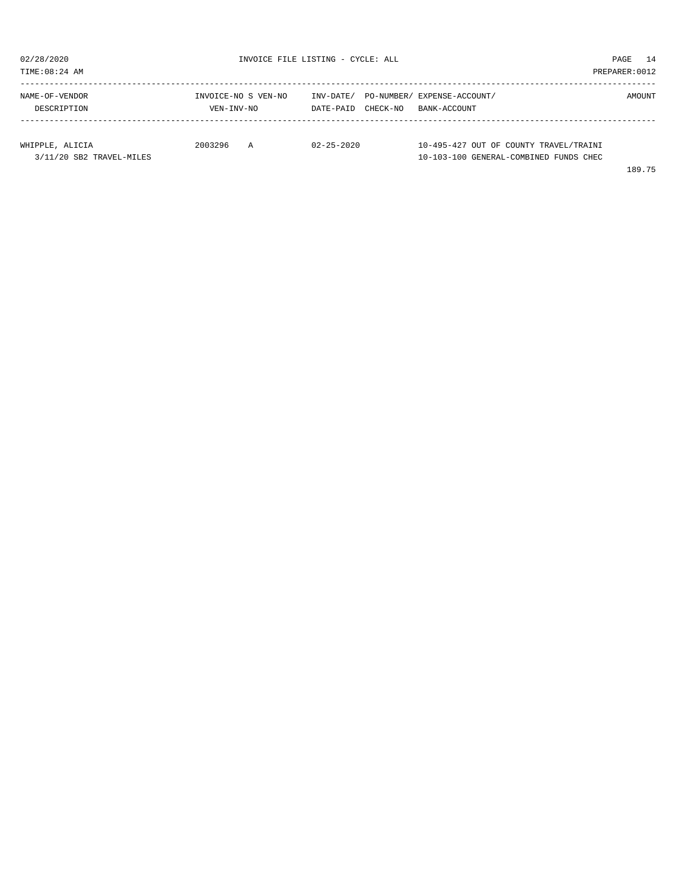| 02/28/2020<br>TIME: 08:24 AM  |                                   | INVOICE FILE LISTING - CYCLE: ALL                              |                                        |        |  |  |
|-------------------------------|-----------------------------------|----------------------------------------------------------------|----------------------------------------|--------|--|--|
| NAME-OF-VENDOR<br>DESCRIPTION | INVOICE-NO S VEN-NO<br>VEN-INV-NO | INV-DATE/ PO-NUMBER/ EXPENSE-ACCOUNT/<br>CHECK-NO<br>DATE-PAID | BANK-ACCOUNT                           | AMOUNT |  |  |
|                               |                                   |                                                                |                                        |        |  |  |
| WHIPPLE, ALICIA               | 2003296<br>A                      | $02 - 25 - 2020$                                               | 10-495-427 OUT OF COUNTY TRAVEL/TRAINI |        |  |  |
| 3/11/20 SB2 TRAVEL-MILES      |                                   |                                                                | 10-103-100 GENERAL-COMBINED FUNDS CHEC |        |  |  |